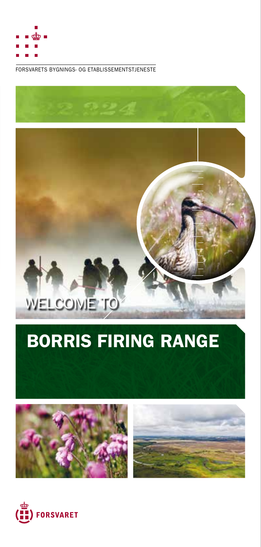

FORSVARETS BYGNINGS- OG ETABLISSEMENTSTJENESTE



# BORRIS FIRING RANGE



WELCOME<sup>TO</sup>

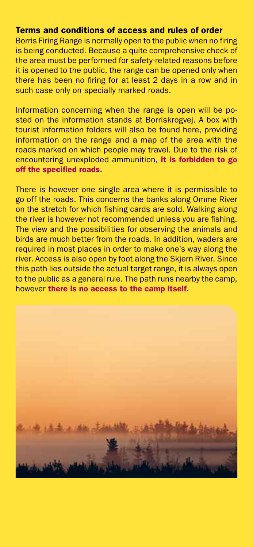#### Terms and conditions of access and rules of order

Borris Firing Range is normally open to the public when no firing is being conducted. Because a quite comprehensive check of the area must be performed for safety-related reasons before it is opened to the public, the range can be opened only when there has been no firing for at least 2 days in a row and in such case only on specially marked roads.

Information concerning when the range is open will be posted on the information stands at Borriskrogvej. A box with tourist information folders will also be found here, providing information on the range and a map of the area with the roads marked on which people may travel. Due to the risk of encountering unexploded ammunition, it is forbidden to go off the specified roads.

There is however one single area where it is permissible to go off the roads. This concerns the banks along Omme River on the stretch for which fishing cards are sold. Walking along the river is however not recommended unless you are fishing. The view and the possibilities for observing the animals and birds are much better from the roads. In addition, waders are required in most places in order to make one's way along the river. Access is also open by foot along the Skjern River. Since this path lies outside the actual target range, it is always open to the public as a general rule. The path runs nearby the camp, however there is no access to the camp itself.

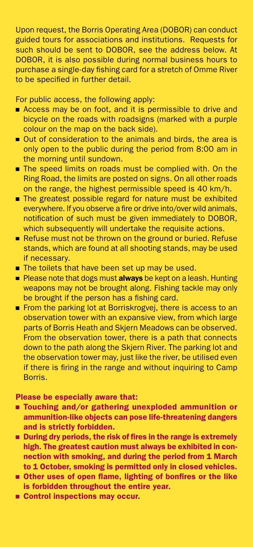Upon request, the Borris Operating Area (DOBOR) can conduct guided tours for associations and institutions. Requests for such should be sent to DOBOR, see the address below. At DOBOR, it is also possible during normal business hours to purchase a single-day fishing card for a stretch of Omme River to be specified in further detail.

For public access, the following apply:

- Access may be on foot, and it is permissible to drive and bicycle on the roads with roadsigns (marked with a purple colour on the map on the back side).
- Out of consideration to the animals and birds, the area is only open to the public during the period from 8:00 am in the morning until sundown.
- The speed limits on roads must be complied with. On the Ring Road, the limits are posted on signs. On all other roads on the range, the highest permissible speed is 40 km/h.
- The greatest possible regard for nature must be exhibited everywhere. If you observe a fire or drive into/over wild animals, notification of such must be given immediately to DOBOR, which subsequently will undertake the requisite actions.
- Refuse must not be thrown on the ground or buried. Refuse stands, which are found at all shooting stands, may be used if necessary.
- The toilets that have been set up may be used.
- Please note that dogs must **always** be kept on a leash. Hunting weapons may not be brought along. Fishing tackle may only be brought if the person has a fishing card.
- From the parking lot at Borriskrogvej, there is access to an observation tower with an expansive view, from which large parts of Borris Heath and Skjern Meadows can be observed. From the observation tower, there is a path that connects down to the path along the Skjern River. The parking lot and the observation tower may, just like the river, be utilised even if there is firing in the range and without inquiring to Camp Borris.

Please be especially aware that:

- Touching and/or gathering unexploded ammunition or ammunition-like objects can pose life-threatening dangers and is strictly forbidden.
- **During dry periods, the risk of fires in the range is extremely** high. The greatest caution must always be exhibited in connection with smoking, and during the period from 1 March to 1 October, smoking is permitted only in closed vehicles.
- Other uses of open flame, lighting of bonfires or the like is forbidden throughout the entire year.
- Control inspections may occur.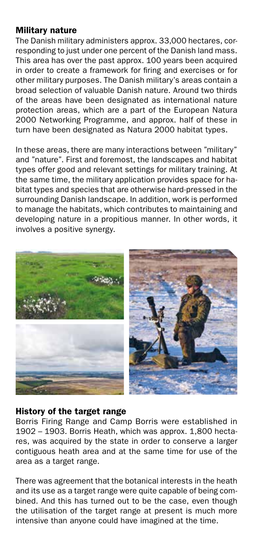## Military nature

The Danish military administers approx. 33,000 hectares, corresponding to just under one percent of the Danish land mass. This area has over the past approx. 100 years been acquired in order to create a framework for firing and exercises or for other military purposes. The Danish military's areas contain a broad selection of valuable Danish nature. Around two thirds of the areas have been designated as international nature protection areas, which are a part of the European Natura 2000 Networking Programme, and approx. half of these in turn have been designated as Natura 2000 habitat types.

In these areas, there are many interactions between "military" and "nature". First and foremost, the landscapes and habitat types offer good and relevant settings for military training. At the same time, the military application provides space for habitat types and species that are otherwise hard-pressed in the surrounding Danish landscape. In addition, work is performed to manage the habitats, which contributes to maintaining and developing nature in a propitious manner. In other words, it involves a positive synergy.



## History of the target range

Borris Firing Range and Camp Borris were established in 1902 – 1903. Borris Heath, which was approx. 1,800 hectares, was acquired by the state in order to conserve a larger contiguous heath area and at the same time for use of the area as a target range.

There was agreement that the botanical interests in the heath and its use as a target range were quite capable of being combined. And this has turned out to be the case, even though the utilisation of the target range at present is much more intensive than anyone could have imagined at the time.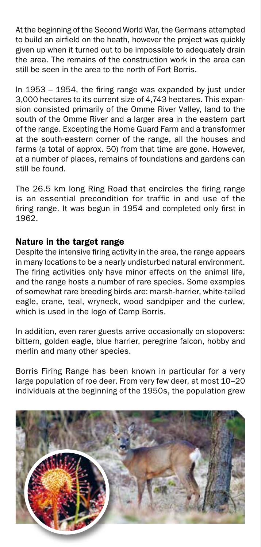At the beginning of the Second World War, the Germans attempted to build an airfield on the heath, however the project was quickly given up when it turned out to be impossible to adequately drain the area. The remains of the construction work in the area can still be seen in the area to the north of Fort Borris.

In 1953 – 1954, the firing range was expanded by just under 3,000 hectares to its current size of 4,743 hectares. This expansion consisted primarily of the Omme River Valley, land to the south of the Omme River and a larger area in the eastern part of the range. Excepting the Home Guard Farm and a transformer at the south-eastern corner of the range, all the houses and farms (a total of approx. 50) from that time are gone. However, at a number of places, remains of foundations and gardens can still be found.

The 26.5 km long Ring Road that encircles the firing range is an essential precondition for traffic in and use of the firing range. It was begun in 1954 and completed only first in 1962.

## Nature in the target range

Despite the intensive firing activity in the area, the range appears in many locations to be a nearly undisturbed natural environment. The firing activities only have minor effects on the animal life, and the range hosts a number of rare species. Some examples of somewhat rare breeding birds are: marsh-harrier, white-tailed eagle, crane, teal, wryneck, wood sandpiper and the curlew, which is used in the logo of Camp Borris.

In addition, even rarer guests arrive occasionally on stopovers: bittern, golden eagle, blue harrier, peregrine falcon, hobby and merlin and many other species.

Borris Firing Range has been known in particular for a very large population of roe deer. From very few deer, at most 10–20 individuals at the beginning of the 1950s, the population grew

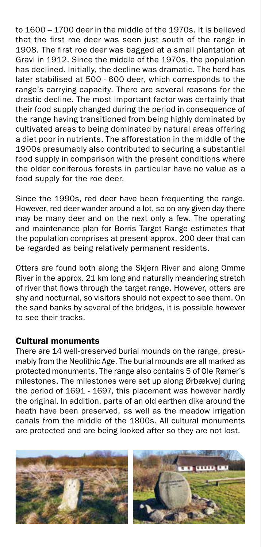to 1600 – 1700 deer in the middle of the 1970s. It is believed that the first roe deer was seen just south of the range in 1908. The first roe deer was bagged at a small plantation at Gravl in 1912. Since the middle of the 1970s, the population has declined. Initially, the decline was dramatic. The herd has later stabilised at 500 - 600 deer, which corresponds to the range's carrying capacity. There are several reasons for the drastic decline. The most important factor was certainly that their food supply changed during the period in consequence of the range having transitioned from being highly dominated by cultivated areas to being dominated by natural areas offering a diet poor in nutrients. The afforestation in the middle of the 1900s presumably also contributed to securing a substantial food supply in comparison with the present conditions where the older coniferous forests in particular have no value as a food supply for the roe deer.

Since the 1990s, red deer have been frequenting the range. However, red deer wander around a lot, so on any given day there may be many deer and on the next only a few. The operating and maintenance plan for Borris Target Range estimates that the population comprises at present approx. 200 deer that can be regarded as being relatively permanent residents.

Otters are found both along the Skjern River and along Omme River in the approx. 21 km long and naturally meandering stretch of river that flows through the target range. However, otters are shy and nocturnal, so visitors should not expect to see them. On the sand banks by several of the bridges, it is possible however to see their tracks.

## Cultural monuments

There are 14 well-preserved burial mounds on the range, presumably from the Neolithic Age. The burial mounds are all marked as protected monuments. The range also contains 5 of Ole Rømer's milestones. The milestones were set up along Ørbækvej during the period of 1691 - 1697, this placement was however hardly the original. In addition, parts of an old earthen dike around the heath have been preserved, as well as the meadow irrigation canals from the middle of the 1800s. All cultural monuments are protected and are being looked after so they are not lost.

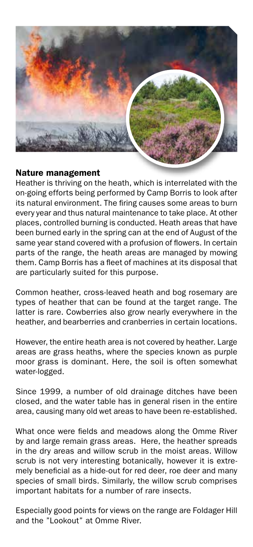

## Nature management

Heather is thriving on the heath, which is interrelated with the on-going efforts being performed by Camp Borris to look after its natural environment. The firing causes some areas to burn every year and thus natural maintenance to take place. At other places, controlled burning is conducted. Heath areas that have been burned early in the spring can at the end of August of the same year stand covered with a profusion of flowers. In certain parts of the range, the heath areas are managed by mowing them. Camp Borris has a fleet of machines at its disposal that are particularly suited for this purpose.

Common heather, cross-leaved heath and bog rosemary are types of heather that can be found at the target range. The latter is rare. Cowberries also grow nearly everywhere in the heather, and bearberries and cranberries in certain locations.

However, the entire heath area is not covered by heather. Large areas are grass heaths, where the species known as purple moor grass is dominant. Here, the soil is often somewhat water-logged.

Since 1999, a number of old drainage ditches have been closed, and the water table has in general risen in the entire area, causing many old wet areas to have been re-established.

What once were fields and meadows along the Omme River by and large remain grass areas. Here, the heather spreads in the dry areas and willow scrub in the moist areas. Willow scrub is not very interesting botanically, however it is extremely beneficial as a hide-out for red deer, roe deer and many species of small birds. Similarly, the willow scrub comprises important habitats for a number of rare insects.

Especially good points for views on the range are Foldager Hill and the "Lookout" at Omme River.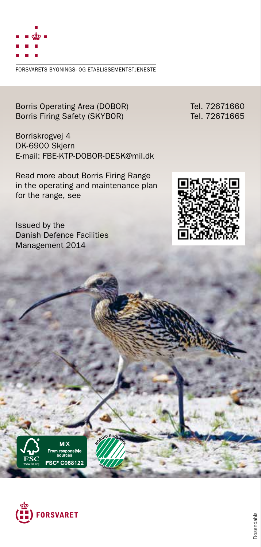

FORSVARETS BYGNINGS- OG ETABLISSEMENTSTJENESTE

Borris Operating Area (DOBOR) Tel. 72671660<br>Borris Firing Safety (SKYBOR) Tel. 72671665 Borris Firing Safety (SKYBOR)

Borriskrogvej 4 DK-6900 Skjern E-mail: FBE-KTP-DOBOR-DESK@mil.dk

Read more about Borris Firing Range in the operating and maintenance plan for the range, see

Issued by the Danish Defence Facilities Management 2014





SC<sup>®</sup> C06812

**<sup>5</sup>4<sup>1</sup> <sup>P</sup>rintedmatte<sup>r</sup> <sup>4</sup>5<sup>7</sup>**